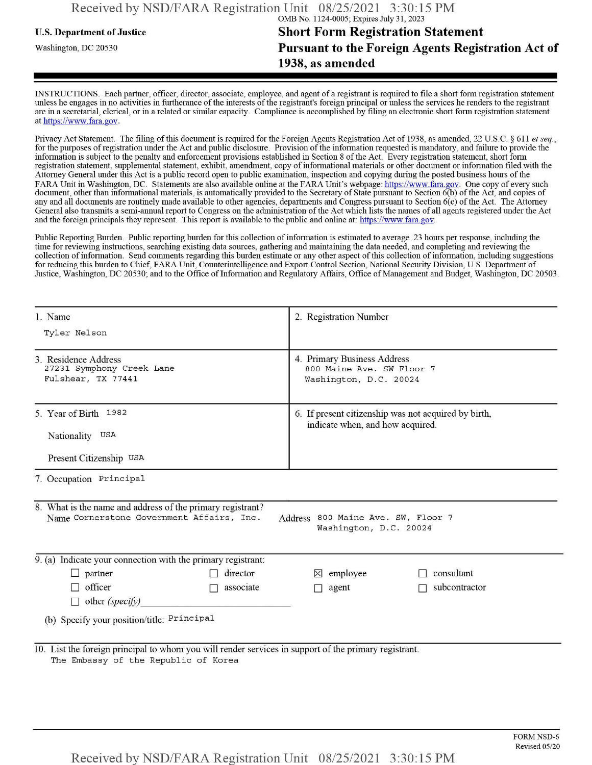## u.s. Department ofJustice **Short Form Registration Statement** Washington, dc <sup>20530</sup> **Pursuant to the Foreign Agents Registration Act of 1938, as amended**

INSTRUCTIONS. Each partner, officer, director, associate, employee, and agent of a registrant is required to file a short form registration statement unless he engages in no activities in furtherance ofthe interests ofthe registrant's foreign principal or unless the services he renders to the registrant are in a secretarial, clerical, or in a related or similar capacity. Compliance is accomplished by filing an electronic short form registration statement at https://www.fara.gov.

Privacy Act Statement. The filing of this document is required for the Foreign Agents Registration Act of 1938, as amended, 22 U.S.C. § 611 et seq., for the purposes ofregistration under the Act and public disclosure. Provision ofthe information requested is mandatory, and failure to provide the information is subject to the penalty and enforcement provisions established in Section 8 ofthe Act. Every registration statement, short form registration statement, supplemental statement, exhibit, amendment, copy ofinformational materials or other document or information filed with the Attorney General under this Act is a public record open to public examination, inspection and copying during the posted business hours of the FARA Unit in Washington, DC. Statements are also available online at the FARA Unit's webpage: https://www.fara.gov. One copy of every such document, other than informational materials, is automatically provided to the Secretary of State pursuant to Section 6(b) ofthe Act, and copies of any and all documents are routinely made available to other agencies, departments and Congress pursuant to Section 6(c) ofthe Act. The Attorney General also transmits a semi-annual report to Congress on the administration ofthe Act which lists the names of all agents registered under the Act and the foreign principals they represent. This report is available to the public and online at: https://www.fara.gov.

Public Reporting Burden. Public reporting burden for this collection ofinformation is estimated to average .23 hours per response, including the time for reviewing instructions, searching existing data sources, gathering and maintaining the data needed, and completing and reviewing the collection of information. Send comments regarding this burden estimate or any other aspect of this collection of information, including suggestions for reducing this burden to Chief, FARA Unit, Counterintelligence and Export Control Section, National Security Division, U.S. Department of Justice, Washington, DC 20530; and to the Office of Information and Regulatory Affairs, Office of Management and Budget, Washington, DC 20503.

| 1. Name<br>Tyler Nelson                                                                                                                                                 | 2. Registration Number                                                                   |               |  |  |  |  |
|-------------------------------------------------------------------------------------------------------------------------------------------------------------------------|------------------------------------------------------------------------------------------|---------------|--|--|--|--|
|                                                                                                                                                                         |                                                                                          |               |  |  |  |  |
| 3. Residence Address<br>27231 Symphony Creek Lane<br>Fulshear, TX 77441                                                                                                 | 4. Primary Business Address<br>800 Maine Ave. SW Floor 7<br>Washington, D.C. 20024       |               |  |  |  |  |
| 5. Year of Birth 1982<br>Nationality USA                                                                                                                                | 6. If present citizenship was not acquired by birth,<br>indicate when, and how acquired. |               |  |  |  |  |
| Present Citizenship USA                                                                                                                                                 |                                                                                          |               |  |  |  |  |
| 7. Occupation Principal                                                                                                                                                 |                                                                                          |               |  |  |  |  |
| 8. What is the name and address of the primary registrant?<br>Name Cornerstone Government Affairs, Inc.<br>Address 800 Maine Ave. SW, Floor 7<br>Washington, D.C. 20024 |                                                                                          |               |  |  |  |  |
| 9. (a) Indicate your connection with the primary registrant:                                                                                                            |                                                                                          |               |  |  |  |  |
| $\Box$ partner<br>director<br>П                                                                                                                                         | $\boxtimes$ employee                                                                     | consultant    |  |  |  |  |
| $\Box$ officer<br>associate<br>$\overline{a}$<br>$\Box$ other (specify)                                                                                                 | $\Box$ agent                                                                             | subcontractor |  |  |  |  |
| (b) Specify your position/title: Principal                                                                                                                              |                                                                                          |               |  |  |  |  |
| 10. List the foreign principal to whom you will render services in support of the primary registrant.<br>The Embassy of the Republic of Korea                           |                                                                                          |               |  |  |  |  |